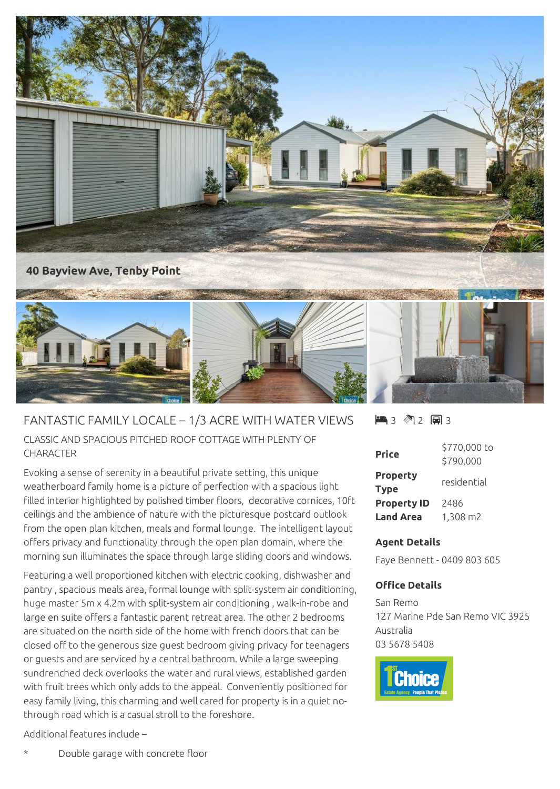

## FANTASTIC FAMILY LOCALE – 1/3 ACRE WITH WATER VIEWS

CLASSIC AND SPACIOUS PITCHED ROOF COTTAGE WITH PLENTY OF **CHARACTER** 

Evoking a sense of serenity in a beautiful private setting, this unique weatherboard family home is a picture of perfection with a spacious light filled interior highlighted by polished timber floors, decorative cornices, 10ft ceilings and the ambience of nature with the picturesque postcard outlook from the open plan kitchen, meals and formal lounge. The intelligent layout offers privacy and functionality through the open plan domain, where the morning sun illuminates the space through large sliding doors and windows.

Featuring a well proportioned kitchen with electric cooking, dishwasher and pantry , spacious meals area, formal lounge with split-system air conditioning, huge master 5m x 4.2m with split-system air conditioning , walk-in-robe and large en suite offers a fantastic parent retreat area. The other 2 bedrooms are situated on the north side of the home with french doors that can be closed off to the generous size guest bedroom giving privacy for teenagers or guests and are serviced by a central bathroom. While a large sweeping sundrenched deck overlooks the water and rural views, established garden with fruit trees which only adds to the appeal. Conveniently positioned for easy family living, this charming and well cared for property is in a quiet nothrough road which is a casual stroll to the foreshore.

Additional features include –

## $\blacksquare$  3 2 2 2 3

| <b>Price</b>                   | \$770,000 to<br>\$790,000 |
|--------------------------------|---------------------------|
| <b>Property</b><br><b>Type</b> | residential               |
| <b>Property ID</b>             | 2486                      |
| <b>Land Area</b>               | 1,308 m2                  |

## **Agent Details**

Faye Bennett - 0409 803 605

## **Office Details**

San Remo 127 Marine Pde San Remo VIC 3925 Australia 03 5678 5408